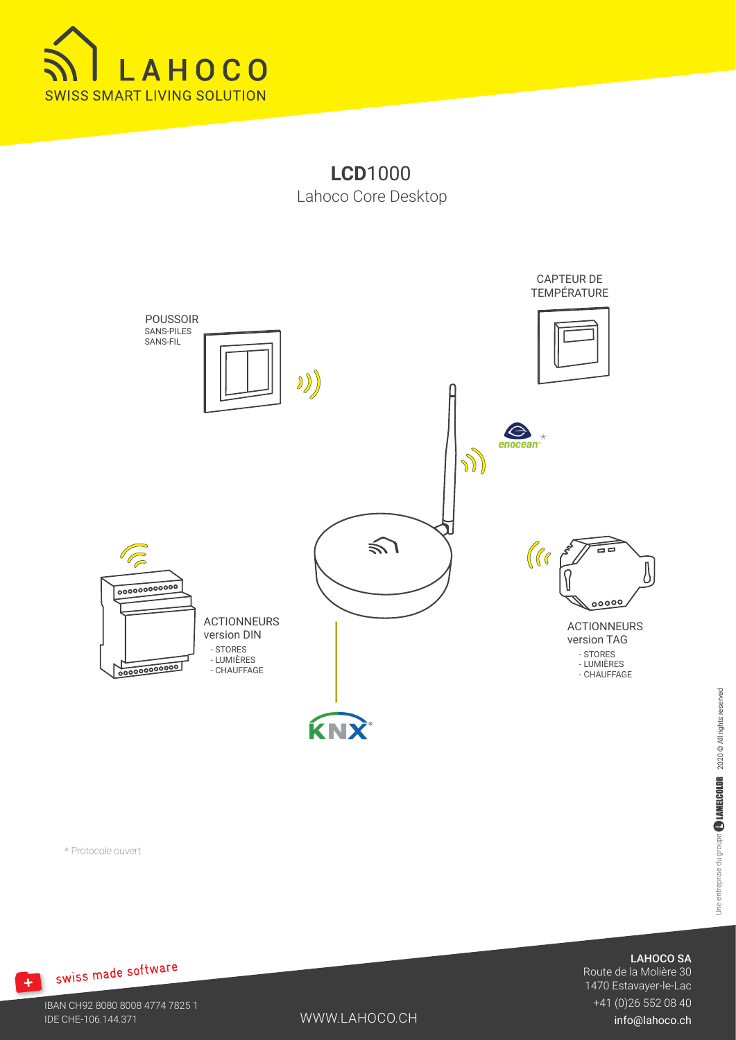

**LCD**1000 Lahoco Core Desktop



Une entreprise du groupe **BLAMELCOLOR** 2020 @ All rights reserved Une entreprise du groupe  $\begin{smallmatrix} \bullet \end{smallmatrix}$  LAMELCOLOR  $\quad$  2020 © All rights reserved

\* Protocole ouvert

# + swiss made software

WWW.LAHOCO.CH

LAHOCO SA

Route de la Molière 30 1470 Estavayer-le-Lac +41 (0)26 552 08 40

info@lahoco.ch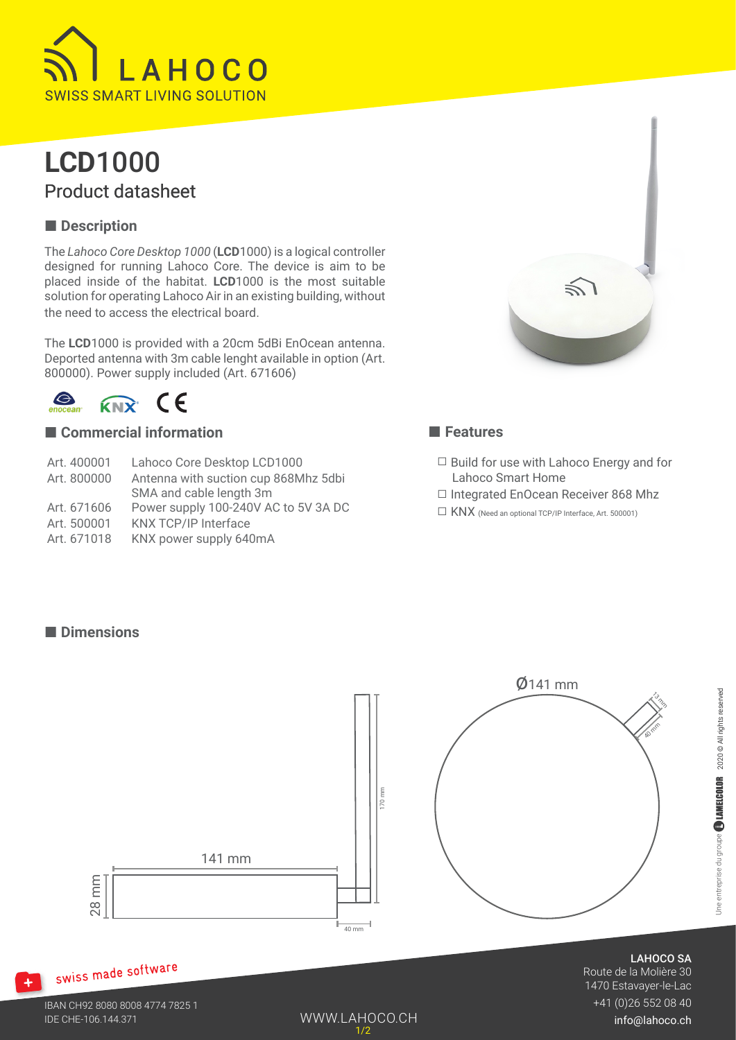

### **LCD**1000 Product datasheet

### ■ **Description**

The *Lahoco Core Desktop 1000* (**LCD**1000) is a logical controller designed for running Lahoco Core. The device is aim to be placed inside of the habitat. **LCD**1000 is the most suitable solution for operating Lahoco Air in an existing building, without the need to access the electrical board.

The **LCD**1000 is provided with a 20cm 5dBi EnOcean antenna. Deported antenna with 3m cable lenght available in option (Art. 800000). Power supply included (Art. 671606)

 $\bigodot$ <br>enocea  $R_{NN}$  CE

■ **Dimensions**

### ■ **Commercial information**

- Art. 400001 Lahoco Core Desktop LCD1000 Art. 800000 Antenna with suction cup 868Mhz 5dbi SMA and cable length 3m Art. 671606 Power supply 100-240V AC to 5V 3A DC
- Art. 500001 KNX TCP/IP Interface
- 
- Art. 671018 KNX power supply 640mA



### ■ **Features**

- $\Box$  Build for use with Lahoco Energy and for Lahoco Smart Home
- ☐ Integrated EnOcean Receiver 868 Mhz
- ☐ KNX (Need an optional TCP/IP Interface, Art. 500001)

# 28 mm 141 mm 40 mm 170 mm  $Ø$ 141 mm **AD Trin** 13<br>13 m

### swiss made software

 $+$ 

WWW.LAHOCO.CH 1/2

LAHOCO SA

Route de la Molière 30 1470 Estavayer-le-Lac +41 (0)26 552 08 40

info@lahoco.ch